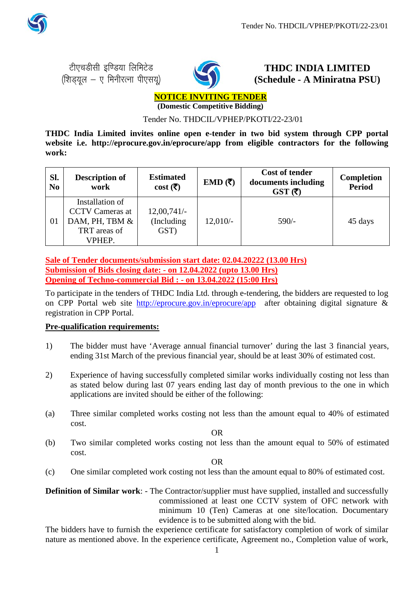

टीएचडीसी इण्डिया लिमिटेड (शिडयल - ए मिनीरत्ना पीएसय)



# **THDC INDIA LIMITED (Schedule - A Miniratna PSU)**

#### **NOTICE INVITING TENDER (Domestic Competitive Bidding)**

Tender No. THDCIL/VPHEP/PKOTI/22-23/01

**THDC India Limited invites online open e-tender in two bid system through CPP portal website i.e. [http://eprocure.gov.in/eprocure/app](http://www.eprocure.gov.in/) from eligible contractors for the following work:**

| Sl.<br>N <sub>0</sub> | <b>Description of</b><br>work                                                           | <b>Estimated</b><br>cost $(\overline{\mathbf{z}})$ | EMD $(\overline{\zeta})$ | Cost of tender<br>documents including<br>$GST$ (₹) | <b>Completion</b><br><b>Period</b> |
|-----------------------|-----------------------------------------------------------------------------------------|----------------------------------------------------|--------------------------|----------------------------------------------------|------------------------------------|
| 01                    | Installation of<br><b>CCTV Cameras at</b><br>DAM, PH, TBM $&$<br>TRT areas of<br>VPHEP. | $12,00,741/-$<br>(Including)<br>GST)               | $12,010/-$               | $590/-$                                            | 45 days                            |

**Sale of Tender documents/submission start date: 02.04.20222 (13.00 Hrs) Submission of Bids closing date: - on 12.04.2022 (upto 13.00 Hrs) Opening of Techno-commercial Bid : - on 13.04.2022 (15:00 Hrs)**

To participate in the tenders of THDC India Ltd. through e-tendering, the bidders are requested to log on CPP Portal web site [http://eprocure.gov.in/eprocure/app](http://www.eprocure.gov.in/) after obtaining digital signature & registration in CPP Portal.

## **Pre-qualification requirements:**

- 1) The bidder must have 'Average annual financial turnover' during the last 3 financial years, ending 31st March of the previous financial year, should be at least 30% of estimated cost.
- 2) Experience of having successfully completed similar works individually costing not less than as stated below during last 07 years ending last day of month previous to the one in which applications are invited should be either of the following:
- (a) Three similar completed works costing not less than the amount equal to 40% of estimated cost.

OR

(b) Two similar completed works costing not less than the amount equal to 50% of estimated cost.

OR

(c) One similar completed work costing not less than the amount equal to 80% of estimated cost.

**Definition of Similar work**: - The Contractor/supplier must have supplied, installed and successfully commissioned at least one CCTV system of OFC network with minimum 10 (Ten) Cameras at one site/location. Documentary evidence is to be submitted along with the bid.

The bidders have to furnish the experience certificate for satisfactory completion of work of similar nature as mentioned above. In the experience certificate, Agreement no., Completion value of work,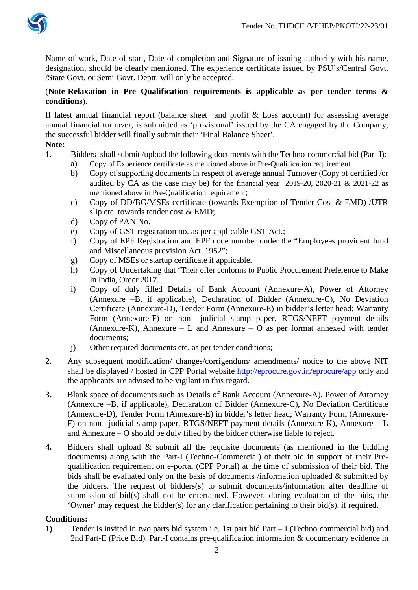

Name of work, Date of start, Date of completion and Signature of issuing authority with his name, designation, should be clearly mentioned. The experience certificate issued by PSU's/Central Govt. /State Govt. or Semi Govt. Deptt. will only be accepted.

## (**Note-Relaxation in Pre Qualification requirements is applicable as per tender terms & conditions**).

If latest annual financial report (balance sheet and profit  $\&$  Loss account) for assessing average annual financial turnover, is submitted as 'provisional' issued by the CA engaged by the Company, the successful bidder will finally submit their 'Final Balance Sheet'.

# **Note:**

- **1.** Bidders shall submit /upload the following documents with the Techno-commercial bid (Part-I):
	- a) Copy of Experience certificate as mentioned above in Pre-Qualification requirement
	- b) Copy of supporting documents in respect of average annual Turnover (Copy of certified /or audited by CA as the case may be) for the financial year  $2019-20$ ,  $2020-21$  &  $2021-22$  as mentioned above in Pre-Qualification requirement;
	- c) Copy of DD/BG/MSEs certificate (towards Exemption of Tender Cost & EMD) /UTR slip etc. towards tender cost & EMD;
	- d) Copy of PAN No.
	- e) Copy of GST registration no. as per applicable GST Act.;
	- f) Copy of EPF Registration and EPF code number under the "Employees provident fund and Miscellaneous provision Act. 1952";
	- g) Copy of MSEs or startup certificate if applicable.
	- h) Copy of Undertaking that "Their offer conforms to Public Procurement Preference to Make In India, Order 2017.
	- i) Copy of duly filled Details of Bank Account (Annexure-A), Power of Attorney (Annexure –B, if applicable), Declaration of Bidder (Annexure-C), No Deviation Certificate (Annexure-D), Tender Form (Annexure-E) in bidder's letter head; Warranty Form (Annexure-F) on non –judicial stamp paper, RTGS/NEFT payment details (Annexure-K), Annexure – L and Annexure – O as per format annexed with tender documents;
	- j) Other required documents etc. as per tender conditions;
- **2.** Any subsequent modification/ changes/corrigendum/ amendments/ notice to the above NIT shall be displayed / hosted in CPP Portal website [http://eprocure.gov.in/eprocure/app](http://www.eprocure.gov.in/) only and the applicants are advised to be vigilant in this regard.
- **3.** Blank space of documents such as Details of Bank Account (Annexure-A), Power of Attorney (Annexure –B, if applicable), Declaration of Bidder (Annexure-C), No Deviation Certificate (Annexure-D), Tender Form (Annexure-E) in bidder's letter head; Warranty Form (Annexure-F) on non –judicial stamp paper, RTGS/NEFT payment details (Annexure-K), Annexure – L and Annexure – O should be duly filled by the bidder otherwise liable to reject.
- **4.** Bidders shall upload & submit all the requisite documents (as mentioned in the bidding documents) along with the Part-I (Techno-Commercial) of their bid in support of their Prequalification requirement on e-portal (CPP Portal) at the time of submission of their bid. The bids shall be evaluated only on the basis of documents /information uploaded & submitted by the bidders. The request of bidders(s) to submit documents/information after deadline of submission of bid(s) shall not be entertained. However, during evaluation of the bids, the 'Owner' may request the bidder(s) for any clarification pertaining to their bid(s), if required.

## **Conditions:**

**1)** Tender is invited in two parts bid system i.e. 1st part bid Part – I (Techno commercial bid) and 2nd Part-II (Price Bid). Part-I contains pre-qualification information & documentary evidence in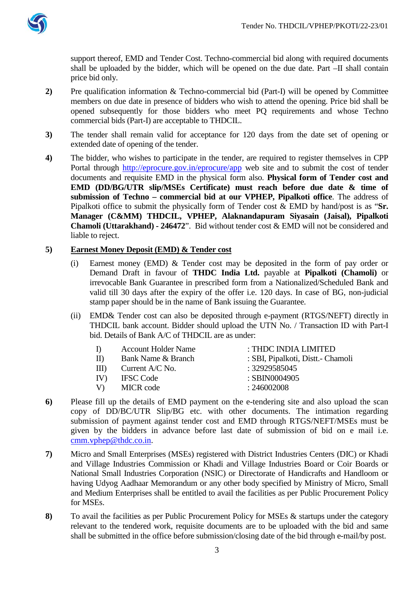

support thereof, EMD and Tender Cost. Techno-commercial bid along with required documents shall be uploaded by the bidder, which will be opened on the due date. Part –II shall contain price bid only.

- **2)** Pre qualification information & Techno-commercial bid (Part-I) will be opened by Committee members on due date in presence of bidders who wish to attend the opening. Price bid shall be opened subsequently for those bidders who meet PQ requirements and whose Techno commercial bids (Part-I) are acceptable to THDCIL.
- **3)** The tender shall remain valid for acceptance for 120 days from the date set of opening or extended date of opening of the tender.
- **4)** The bidder, who wishes to participate in the tender, are required to register themselves in CPP Portal through [http://eprocure.gov.in/eprocure/app](http://www.eprocure.gov.in/) web site and to submit the cost of tender documents and requisite EMD in the physical form also. **Physical form of Tender cost and EMD (DD/BG/UTR slip/MSEs Certificate) must reach before due date & time of submission of Techno – commercial bid at our VPHEP, Pipalkoti office**. The address of Pipalkoti office to submit the physically form of Tender cost & EMD by hand/post is as "**Sr. Manager (C&MM) THDCIL, VPHEP, Alaknandapuram Siyasain (Jaisal), Pipalkoti Chamoli (Uttarakhand) - 246472**". Bid without tender cost & EMD will not be considered and liable to reject.

#### **5) Earnest Money Deposit (EMD) & Tender cost**

- (i) Earnest money (EMD) & Tender cost may be deposited in the form of pay order or Demand Draft in favour of **THDC India Ltd.** payable at **Pipalkoti (Chamoli)** or irrevocable Bank Guarantee in prescribed form from a Nationalized/Scheduled Bank and valid till 30 days after the expiry of the offer i.e. 120 days. In case of BG, non-judicial stamp paper should be in the name of Bank issuing the Guarantee.
- (ii) EMD& Tender cost can also be deposited through e-payment (RTGS/NEFT) directly in THDCIL bank account. Bidder should upload the UTN No. / Transaction ID with Part-I bid. Details of Bank A/C of THDCIL are as under:

| $\Box$       | <b>Account Holder Name</b> | : THDC INDIA LIMITED              |
|--------------|----------------------------|-----------------------------------|
| $\mathbf{I}$ | Bank Name & Branch         | : SBI, Pipalkoti, Distt.- Chamoli |
| - III)       | Current A/C No.            | : 32929585045                     |
| IV)          | <b>IFSC Code</b>           | : SBIN0004905                     |
| V)           | MICR code                  | : 246002008                       |

- **6)** Please fill up the details of EMD payment on the e-tendering site and also upload the scan copy of DD/BC/UTR Slip/BG etc. with other documents. The intimation regarding submission of payment against tender cost and EMD through RTGS/NEFT/MSEs must be given by the bidders in advance before last date of submission of bid on e mail i.e. [cmm.vphep@thdc.co.in.](mailto:cmm.vphep@thdc.co.in)
- **7)** Micro and Small Enterprises (MSEs) registered with District Industries Centers (DIC) or Khadi and Village Industries Commission or Khadi and Village Industries Board or Coir Boards or National Small Industries Corporation (NSIC) or Directorate of Handicrafts and Handloom or having Udyog Aadhaar Memorandum or any other body specified by Ministry of Micro, Small and Medium Enterprises shall be entitled to avail the facilities as per Public Procurement Policy for MSEs.
- **8)** To avail the facilities as per Public Procurement Policy for MSEs & startups under the category relevant to the tendered work, requisite documents are to be uploaded with the bid and same shall be submitted in the office before submission/closing date of the bid through e-mail/by post.